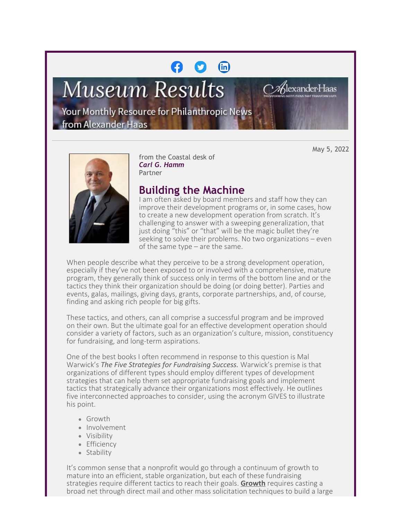## $(n)$

# **Museum Results**

Jexander-Haas

Your Monthly Resource for Philanthropic News from Alexander Haas

May 5, 2022



from the Coastal desk of *Carl G. Hamm* Partner

### **Building the Machine**

I am often asked by board members and staff how they can improve their development programs or, in some cases, how to create a new development operation from scratch. It's challenging to answer with a sweeping generalization, that just doing "this" or "that" will be the magic bullet they're seeking to solve their problems. No two organizations – even of the same type – are the same.

When people describe what they perceive to be a strong development operation, especially if they've not been exposed to or involved with a comprehensive, mature program, they generally think of success only in terms of the bottom line and or the tactics they think their organization should be doing (or doing better). Parties and events, galas, mailings, giving days, grants, corporate partnerships, and, of course, finding and asking rich people for big gifts.

These tactics, and others, can all comprise a successful program and be improved on their own. But the ultimate goal for an effective development operation should consider a variety of factors, such as an organization's culture, mission, constituency for fundraising, and long-term aspirations.

One of the best books I often recommend in response to this question is Mal Warwick's *The Five Strategies for Fundraising Success.* Warwick's premise is that organizations of different types should employ different types of development strategies that can help them set appropriate fundraising goals and implement tactics that strategically advance their organizations most effectively. He outlines five interconnected approaches to consider, using the acronym GIVES to illustrate his point.

- Growth
- · Involvement
- Visibility
- Efficiency
- Stability

It's common sense that a nonprofit would go through a continuum of growth to mature into an efficient, stable organization, but each of these fundraising strategies require different tactics to reach their goals. **Growth** requires casting a broad net through direct mail and other mass solicitation techniques to build a large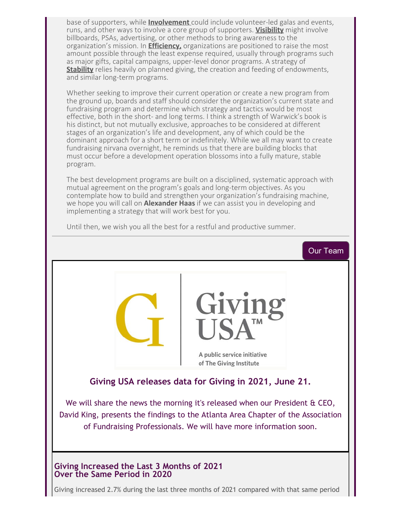base of supporters, while **Involvement** could include volunteer-led galas and events, runs, and other ways to involve a core group of supporters. **Visibility** might involve billboards, PSAs, advertising, or other methods to bring awareness to the organization's mission. In **Efficiency,** organizations are positioned to raise the most amount possible through the least expense required, usually through programs such as major gifts, capital campaigns, upper-level donor programs. A strategy of **Stability** relies heavily on planned giving, the creation and feeding of endowments, and similar long-term programs.

Whether seeking to improve their current operation or create a new program from the ground up, boards and staff should consider the organization's current state and fundraising program and determine which strategy and tactics would be most effective, both in the short- and long terms. I think a strength of Warwick's book is his distinct, but not mutually exclusive, approaches to be considered at different stages of an organization's life and development, any of which could be the dominant approach for a short term or indefinitely. While we all may want to create fundraising nirvana overnight, he reminds us that there are building blocks that must occur before a development operation blossoms into a fully mature, stable program.

The best development programs are built on a disciplined, systematic approach with mutual agreement on the program's goals and long-term objectives. As you contemplate how to build and strengthen your organization's fundraising machine, we hope you will call on **Alexander Haas** if we can assist you in developing and implementing a strategy that will work best for you.



Until then, we wish you all the best for a restful and productive summer.

Giving increased 2.7% during the last three months of 2021 compared with that same period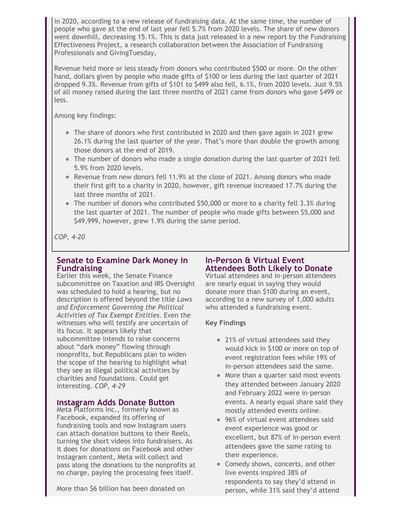in 2020, according to a new release of fundraising data. At the same time, the number of people who gave at the end of last year fell 5.7% from 2020 levels. The share of new donors went downhill, decreasing 15.1%. This is data just released in a new report by the Fundraising Effectiveness Project, a research collaboration between the Association of Fundraising Professionals and GivingTuesday,

Revenue held more or less steady from donors who contributed \$500 or more. On the other hand, dollars given by people who made gifts of \$100 or less during the last quarter of 2021 dropped 9.3%. Revenue from gifts of \$101 to \$499 also fell, 6.1%, from 2020 levels. Just 9.5% of all money raised during the last three months of 2021 came from donors who gave \$499 or less.

Among key findings:

- The share of donors who first contributed in 2020 and then gave again in 2021 grew 26.1% during the last quarter of the year. That's more than double the growth among those donors at the end of 2019.
- The number of donors who made a single donation during the last quarter of 2021 fell 5.9% from 2020 levels.
- Revenue from new donors fell 11.9% at the close of 2021. Among donors who made their first gift to a charity in 2020, however, gift revenue increased 17.7% during the last three months of 2021.
- $\bullet$  The number of donors who contributed \$50,000 or more to a charity fell 3.3% during the last quarter of 2021. The number of people who made gifts between \$5,000 and \$49,999, however, grew 1.9% during the same period.

*COP, 4-20*

#### **Senate to Examine Dark Money in Fundraising**

Earlier this week, the Senate Finance subcommittee on Taxation and IRS Oversight was scheduled to hold a hearing, but no description is offered beyond the title *Laws and Enforcement Governing the Political Activities of Tax Exempt Entities.* Even the witnesses who will testify are uncertain of its focus. It appears likely that subcommittee intends to raise concerns about "dark money" flowing through nonprofits, but Republicans plan to widen the scope of the hearing to highlight what they see as illegal political activities by charities and foundations. Could get interesting. *COP, 4-29*

#### **Instagram Adds Donate Button**

Meta Platforms Inc., formerly known as Facebook, expanded its offering of fundraising tools and now Instagram users can attach donation buttons to their Reels, turning the short videos into fundraisers. As it does for donations on Facebook and other Instagram content, Meta will collect and pass along the donations to the nonprofits at no charge, paying the processing fees itself.

More than \$6 billion has been donated on

#### **In-Person & Virtual Event Attendees Both Likely to Donate**

Virtual attendees and in-person attendees are nearly equal in saying they would donate more than \$100 during an event, according to a new survey of 1,000 adults who attended a fundraising event.

#### **Key Findings**

- 21% of virtual attendees said they would kick in \$100 or more on top of event registration fees while 19% of in-person attendees said the same.
- More than a quarter said most events they attended between January 2020 and February 2022 were in-person events. A nearly equal share said they mostly attended events online.
- 96% of virtual event attendees said event experience was good or excellent, but 87% of in-person event attendees gave the same rating to their experience.
- Comedy shows, concerts, and other live events inspired 38% of respondents to say they'd attend in person, while 31% said they'd attend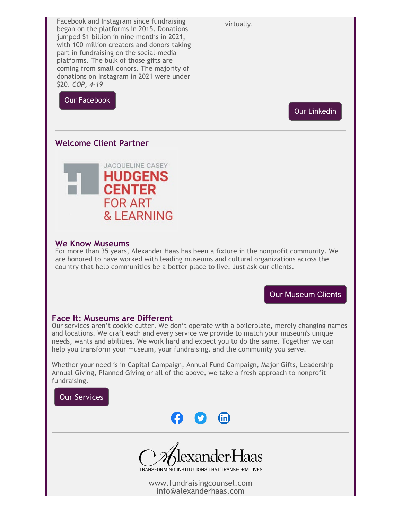virtually.

Facebook and Instagram since fundraising began on the platforms in 2015. Donations jumped \$1 billion in nine months in 2021, with 100 million creators and donors taking part in fundraising on the social-media platforms. The bulk of those gifts are coming from small donors. The majority of donations on Instagram in 2021 were under \$20. *COP, 4-19*

[Our Facebook](https://cl.exct.net/?qs=5cc67450fcd7ea11bb0170c5a674282c2eafd31aa14e56e9badf815297f4cf777c6a08af45739f0d6339b47932ca2a5b)

[Our Linkedin](https://cl.exct.net/?qs=5cc67450fcd7ea1197ec973dbc2a829d87aea578e0bef26ec8428d30c4badfbd2f1cbcaea13e463af9f4f208b3d4edb2)

#### **Welcome Client Partner**



#### **We Know Museums**

For more than 35 years, Alexander Haas has been a fixture in the nonprofit community. We are honored to have worked with leading museums and cultural organizations across the country that help communities be a better place to live. Just ask our clients.

[Our Museum Clients](https://cl.exct.net/?qs=5cc67450fcd7ea110d491fe657830ab075c9ef824dea64399b4dfe8598dc826f8fca9b10c94d32bb153ea38ccd10e63e)

#### **Face It: Museums are Different**

Our services aren't cookie cutter. We don't operate with a boilerplate, merely changing names and locations. We craft each and every service we provide to match your museum's unique needs, wants and abilities. We work hard and expect you to do the same. Together we can help you transform your museum, your fundraising, and the community you serve.

Whether your need is in Capital Campaign, Annual Fund Campaign, Major Gifts, Leadership Annual Giving, Planned Giving or all of the above, we take a fresh approach to nonprofit fundraising.







TRANSFORMING INSTITUTIONS THAT TRANSFORM LIVES

[www.](https://cl.exct.net/?qs=5cc67450fcd7ea115544d399ac9ebcf1a71bac2ab7312f73a5fe8849e8336b12fb8343bd42fee4e5c72ad63ead3f02d9)fundraisingcounsel.com info[@alexanderhaas.co](https://cl.exct.net/?qs=5cc67450fcd7ea115544d399ac9ebcf1a71bac2ab7312f73a5fe8849e8336b12fb8343bd42fee4e5c72ad63ead3f02d9)m